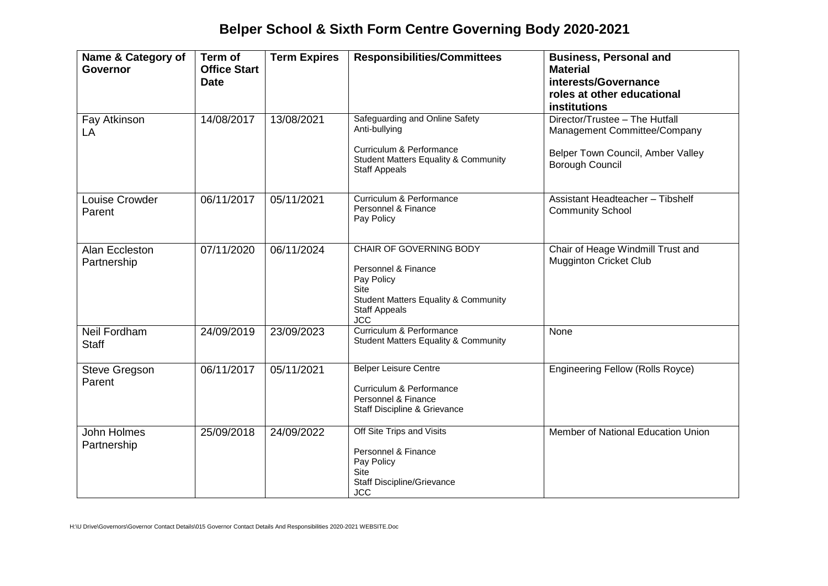## **Belper School & Sixth Form Centre Governing Body 2020-2021**

| Name & Category of<br><b>Governor</b> | Term of<br><b>Office Start</b><br><b>Date</b> | <b>Term Expires</b> | <b>Responsibilities/Committees</b>                                                                                                                                          | <b>Business, Personal and</b><br><b>Material</b><br>interests/Governance<br>roles at other educational<br><b>institutions</b> |
|---------------------------------------|-----------------------------------------------|---------------------|-----------------------------------------------------------------------------------------------------------------------------------------------------------------------------|-------------------------------------------------------------------------------------------------------------------------------|
| Fay Atkinson<br>LA                    | 14/08/2017                                    | 13/08/2021          | Safeguarding and Online Safety<br>Anti-bullying<br>Curriculum & Performance<br><b>Student Matters Equality &amp; Community</b><br><b>Staff Appeals</b>                      | Director/Trustee - The Hutfall<br>Management Committee/Company<br>Belper Town Council, Amber Valley<br><b>Borough Council</b> |
| Louise Crowder<br>Parent              | 06/11/2017                                    | 05/11/2021          | Curriculum & Performance<br>Personnel & Finance<br>Pay Policy                                                                                                               | Assistant Headteacher - Tibshelf<br><b>Community School</b>                                                                   |
| Alan Eccleston<br>Partnership         | 07/11/2020                                    | 06/11/2024          | <b>CHAIR OF GOVERNING BODY</b><br>Personnel & Finance<br>Pay Policy<br><b>Site</b><br><b>Student Matters Equality &amp; Community</b><br><b>Staff Appeals</b><br><b>JCC</b> | Chair of Heage Windmill Trust and<br><b>Mugginton Cricket Club</b>                                                            |
| <b>Neil Fordham</b><br><b>Staff</b>   | 24/09/2019                                    | 23/09/2023          | Curriculum & Performance<br><b>Student Matters Equality &amp; Community</b>                                                                                                 | None                                                                                                                          |
| <b>Steve Gregson</b><br>Parent        | 06/11/2017                                    | 05/11/2021          | <b>Belper Leisure Centre</b><br>Curriculum & Performance<br>Personnel & Finance<br>Staff Discipline & Grievance                                                             | <b>Engineering Fellow (Rolls Royce)</b>                                                                                       |
| John Holmes<br>Partnership            | 25/09/2018                                    | 24/09/2022          | Off Site Trips and Visits<br>Personnel & Finance<br>Pay Policy<br>Site<br><b>Staff Discipline/Grievance</b><br><b>JCC</b>                                                   | Member of National Education Union                                                                                            |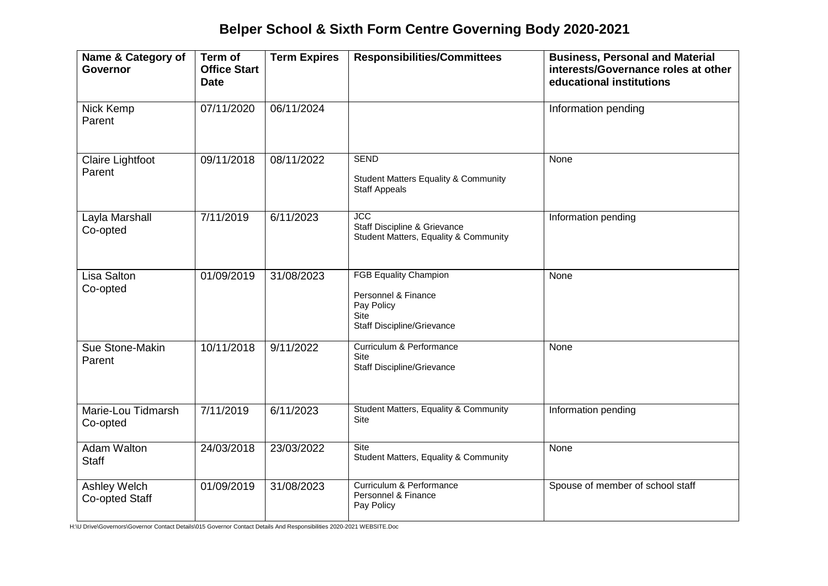## **Belper School & Sixth Form Centre Governing Body 2020-2021**

| Name & Category of<br>Governor     | Term of<br><b>Office Start</b><br><b>Date</b> | <b>Term Expires</b> | <b>Responsibilities/Committees</b>                                                                             | <b>Business, Personal and Material</b><br>interests/Governance roles at other<br>educational institutions |
|------------------------------------|-----------------------------------------------|---------------------|----------------------------------------------------------------------------------------------------------------|-----------------------------------------------------------------------------------------------------------|
| Nick Kemp<br>Parent                | 07/11/2020                                    | 06/11/2024          |                                                                                                                | Information pending                                                                                       |
| <b>Claire Lightfoot</b><br>Parent  | 09/11/2018                                    | 08/11/2022          | <b>SEND</b><br><b>Student Matters Equality &amp; Community</b><br><b>Staff Appeals</b>                         | None                                                                                                      |
| Layla Marshall<br>Co-opted         | 7/11/2019                                     | 6/11/2023           | <b>JCC</b><br>Staff Discipline & Grievance<br>Student Matters, Equality & Community                            | Information pending                                                                                       |
| <b>Lisa Salton</b><br>Co-opted     | 01/09/2019                                    | 31/08/2023          | <b>FGB Equality Champion</b><br>Personnel & Finance<br>Pay Policy<br>Site<br><b>Staff Discipline/Grievance</b> | None                                                                                                      |
| Sue Stone-Makin<br>Parent          | 10/11/2018                                    | 9/11/2022           | Curriculum & Performance<br>Site<br>Staff Discipline/Grievance                                                 | None                                                                                                      |
| Marie-Lou Tidmarsh<br>Co-opted     | 7/11/2019                                     | 6/11/2023           | Student Matters, Equality & Community<br>Site                                                                  | Information pending                                                                                       |
| <b>Adam Walton</b><br><b>Staff</b> | 24/03/2018                                    | 23/03/2022          | Site<br>Student Matters, Equality & Community                                                                  | None                                                                                                      |
| Ashley Welch<br>Co-opted Staff     | 01/09/2019                                    | 31/08/2023          | Curriculum & Performance<br>Personnel & Finance<br>Pay Policy                                                  | Spouse of member of school staff                                                                          |

H:\U Drive\Governors\Governor Contact Details\015 Governor Contact Details And Responsibilities 2020-2021 WEBSITE.Doc